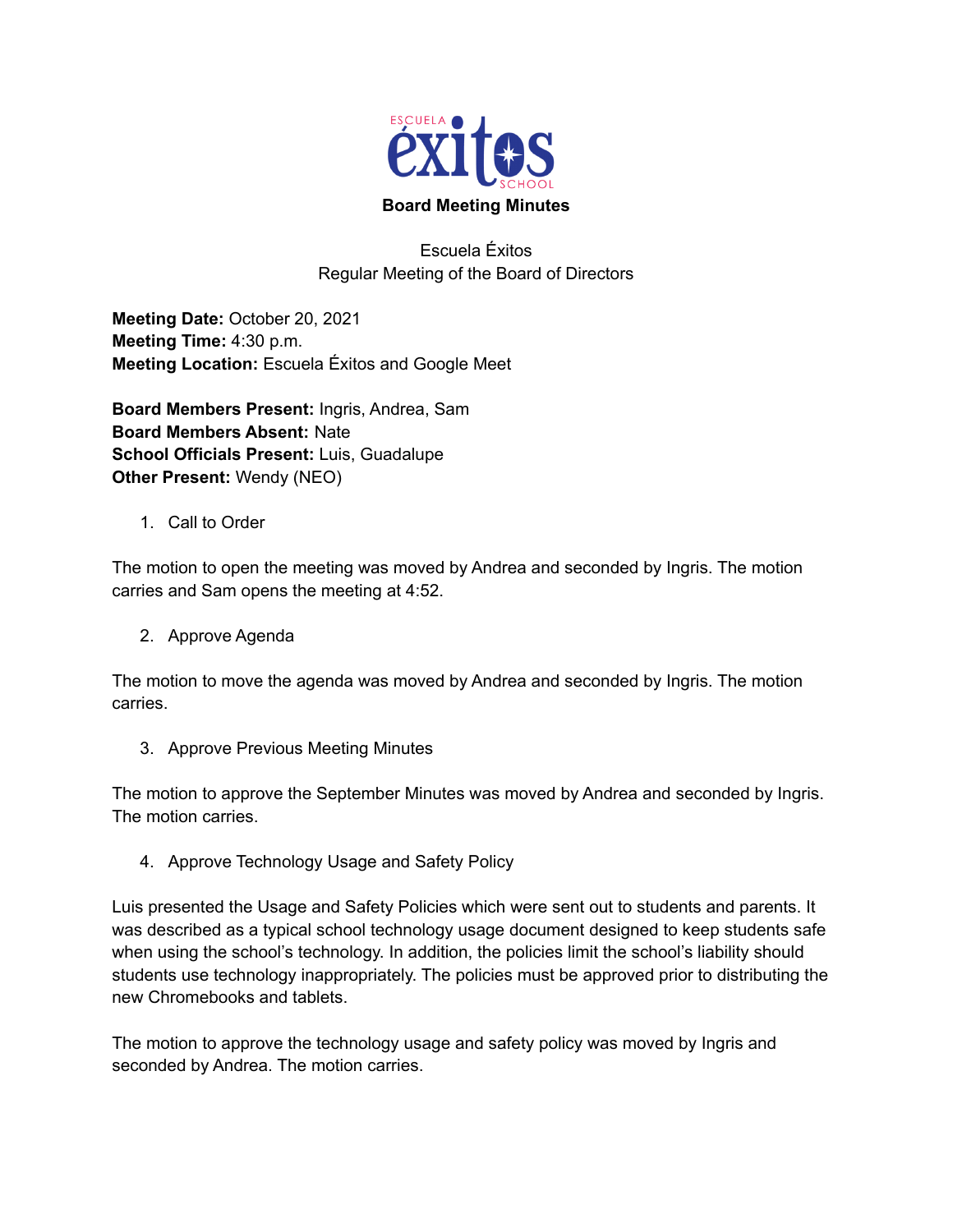

Escuela Éxitos Regular Meeting of the Board of Directors

**Meeting Date:** October 20, 2021 **Meeting Time:** 4:30 p.m. **Meeting Location:** Escuela Éxitos and Google Meet

**Board Members Present:** Ingris, Andrea, Sam **Board Members Absent:** Nate **School Officials Present:** Luis, Guadalupe **Other Present:** Wendy (NEO)

1. Call to Order

The motion to open the meeting was moved by Andrea and seconded by Ingris. The motion carries and Sam opens the meeting at 4:52.

2. Approve Agenda

The motion to move the agenda was moved by Andrea and seconded by Ingris. The motion carries.

3. Approve Previous Meeting Minutes

The motion to approve the September Minutes was moved by Andrea and seconded by Ingris. The motion carries.

4. Approve Technology Usage and Safety Policy

Luis presented the Usage and Safety Policies which were sent out to students and parents. It was described as a typical school technology usage document designed to keep students safe when using the school's technology. In addition, the policies limit the school's liability should students use technology inappropriately. The policies must be approved prior to distributing the new Chromebooks and tablets.

The motion to approve the technology usage and safety policy was moved by Ingris and seconded by Andrea. The motion carries.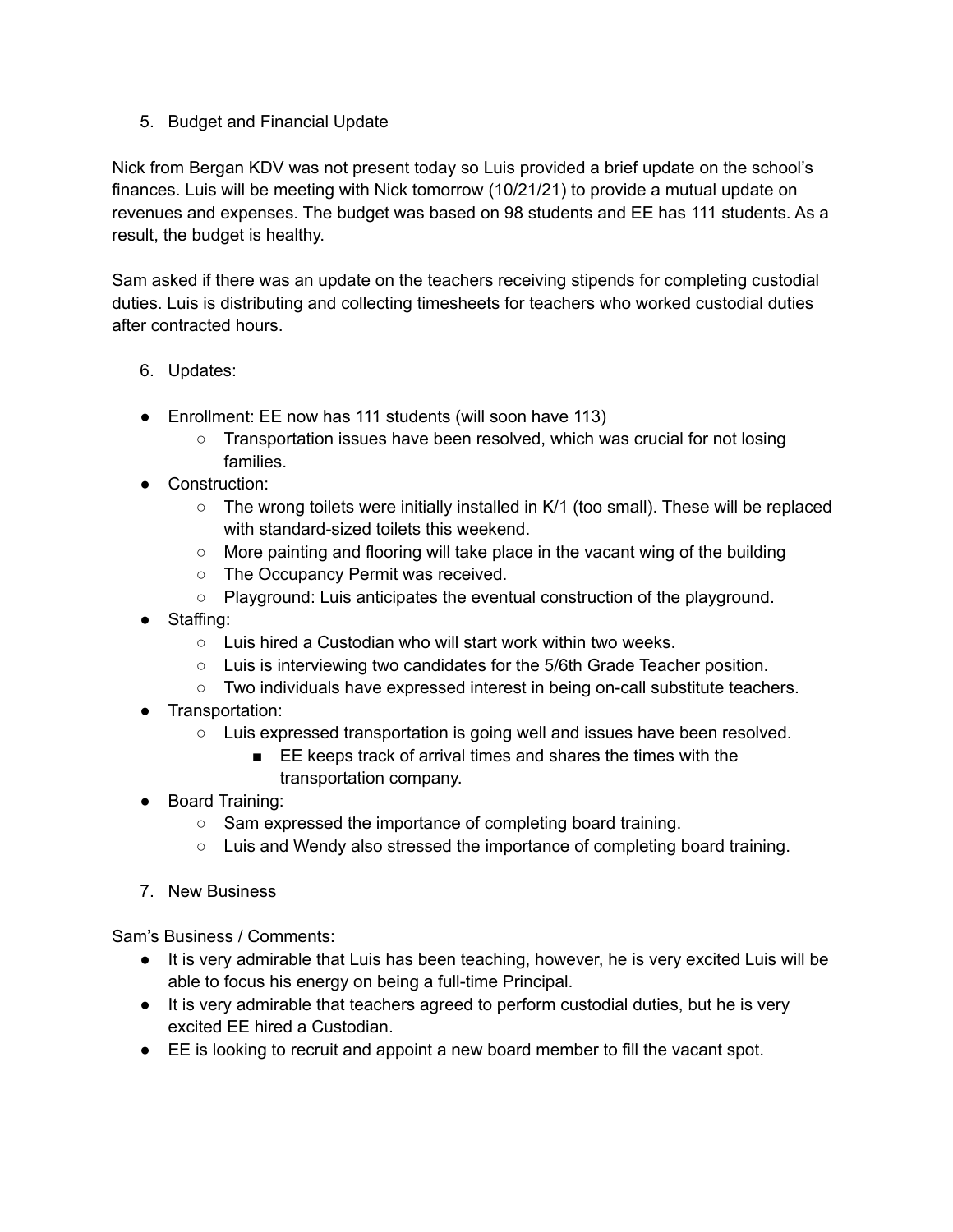## 5. Budget and Financial Update

Nick from Bergan KDV was not present today so Luis provided a brief update on the school's finances. Luis will be meeting with Nick tomorrow (10/21/21) to provide a mutual update on revenues and expenses. The budget was based on 98 students and EE has 111 students. As a result, the budget is healthy.

Sam asked if there was an update on the teachers receiving stipends for completing custodial duties. Luis is distributing and collecting timesheets for teachers who worked custodial duties after contracted hours.

## 6. Updates:

- Enrollment: EE now has 111 students (will soon have 113)
	- Transportation issues have been resolved, which was crucial for not losing families.
- Construction:
	- The wrong toilets were initially installed in K/1 (too small). These will be replaced with standard-sized toilets this weekend.
	- $\circ$  More painting and flooring will take place in the vacant wing of the building
	- The Occupancy Permit was received.
	- Playground: Luis anticipates the eventual construction of the playground.
- Staffing:
	- Luis hired a Custodian who will start work within two weeks.
	- Luis is interviewing two candidates for the 5/6th Grade Teacher position.
	- Two individuals have expressed interest in being on-call substitute teachers.
- Transportation:
	- Luis expressed transportation is going well and issues have been resolved.
		- EE keeps track of arrival times and shares the times with the transportation company.
- Board Training:
	- Sam expressed the importance of completing board training.
	- Luis and Wendy also stressed the importance of completing board training.
- 7. New Business

Sam's Business / Comments:

- It is very admirable that Luis has been teaching, however, he is very excited Luis will be able to focus his energy on being a full-time Principal.
- It is very admirable that teachers agreed to perform custodial duties, but he is very excited EE hired a Custodian.
- EE is looking to recruit and appoint a new board member to fill the vacant spot.